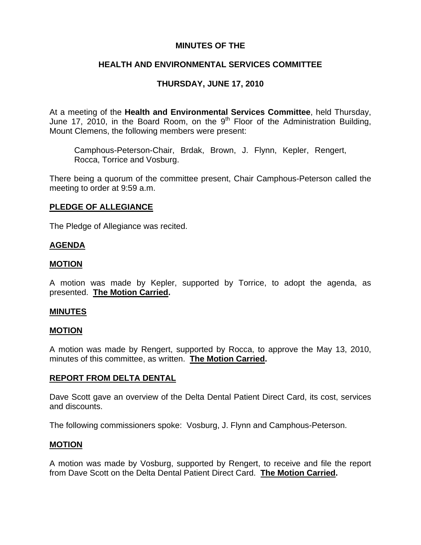### **MINUTES OF THE**

## **HEALTH AND ENVIRONMENTAL SERVICES COMMITTEE**

## **THURSDAY, JUNE 17, 2010**

At a meeting of the **Health and Environmental Services Committee**, held Thursday, June 17, 2010, in the Board Room, on the  $9<sup>th</sup>$  Floor of the Administration Building, Mount Clemens, the following members were present:

Camphous-Peterson-Chair, Brdak, Brown, J. Flynn, Kepler, Rengert, Rocca, Torrice and Vosburg.

There being a quorum of the committee present, Chair Camphous-Peterson called the meeting to order at 9:59 a.m.

## **PLEDGE OF ALLEGIANCE**

The Pledge of Allegiance was recited.

## **AGENDA**

#### **MOTION**

A motion was made by Kepler, supported by Torrice, to adopt the agenda, as presented. **The Motion Carried.** 

#### **MINUTES**

#### **MOTION**

A motion was made by Rengert, supported by Rocca, to approve the May 13, 2010, minutes of this committee, as written. **The Motion Carried.** 

#### **REPORT FROM DELTA DENTAL**

Dave Scott gave an overview of the Delta Dental Patient Direct Card, its cost, services and discounts.

The following commissioners spoke: Vosburg, J. Flynn and Camphous-Peterson.

#### **MOTION**

A motion was made by Vosburg, supported by Rengert, to receive and file the report from Dave Scott on the Delta Dental Patient Direct Card. **The Motion Carried.**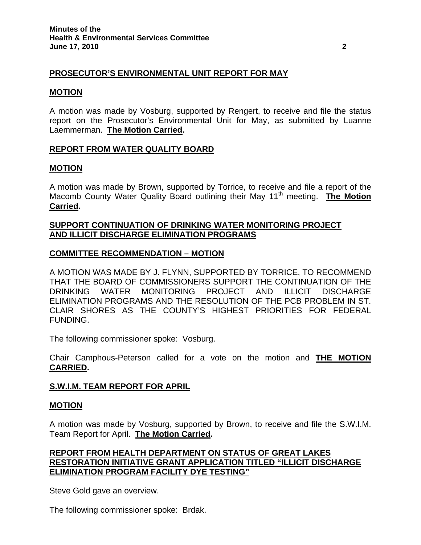## **PROSECUTOR'S ENVIRONMENTAL UNIT REPORT FOR MAY**

### **MOTION**

A motion was made by Vosburg, supported by Rengert, to receive and file the status report on the Prosecutor's Environmental Unit for May, as submitted by Luanne Laemmerman. **The Motion Carried.** 

## **REPORT FROM WATER QUALITY BOARD**

## **MOTION**

A motion was made by Brown, supported by Torrice, to receive and file a report of the Macomb County Water Quality Board outlining their May 11<sup>th</sup> meeting. **The Motion Carried.** 

## **SUPPORT CONTINUATION OF DRINKING WATER MONITORING PROJECT AND ILLICIT DISCHARGE ELIMINATION PROGRAMS**

## **COMMITTEE RECOMMENDATION – MOTION**

A MOTION WAS MADE BY J. FLYNN, SUPPORTED BY TORRICE, TO RECOMMEND THAT THE BOARD OF COMMISSIONERS SUPPORT THE CONTINUATION OF THE DRINKING WATER MONITORING PROJECT AND ILLICIT DISCHARGE ELIMINATION PROGRAMS AND THE RESOLUTION OF THE PCB PROBLEM IN ST. CLAIR SHORES AS THE COUNTY'S HIGHEST PRIORITIES FOR FEDERAL FUNDING.

The following commissioner spoke: Vosburg.

Chair Camphous-Peterson called for a vote on the motion and **THE MOTION CARRIED.** 

#### **S.W.I.M. TEAM REPORT FOR APRIL**

#### **MOTION**

A motion was made by Vosburg, supported by Brown, to receive and file the S.W.I.M. Team Report for April. **The Motion Carried.** 

## **REPORT FROM HEALTH DEPARTMENT ON STATUS OF GREAT LAKES RESTORATION INITIATIVE GRANT APPLICATION TITLED "ILLICIT DISCHARGE ELIMINATION PROGRAM FACILITY DYE TESTING"**

Steve Gold gave an overview.

The following commissioner spoke: Brdak.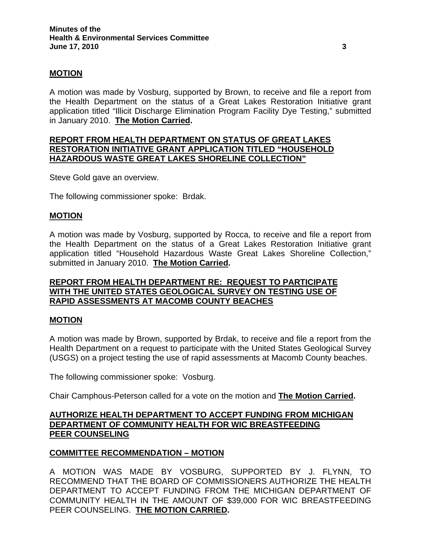## **MOTION**

A motion was made by Vosburg, supported by Brown, to receive and file a report from the Health Department on the status of a Great Lakes Restoration Initiative grant application titled "Illicit Discharge Elimination Program Facility Dye Testing," submitted in January 2010. **The Motion Carried.** 

## **REPORT FROM HEALTH DEPARTMENT ON STATUS OF GREAT LAKES RESTORATION INITIATIVE GRANT APPLICATION TITLED "HOUSEHOLD HAZARDOUS WASTE GREAT LAKES SHORELINE COLLECTION"**

Steve Gold gave an overview.

The following commissioner spoke: Brdak.

#### **MOTION**

A motion was made by Vosburg, supported by Rocca, to receive and file a report from the Health Department on the status of a Great Lakes Restoration Initiative grant application titled "Household Hazardous Waste Great Lakes Shoreline Collection," submitted in January 2010. **The Motion Carried.** 

## **REPORT FROM HEALTH DEPARTMENT RE: REQUEST TO PARTICIPATE WITH THE UNITED STATES GEOLOGICAL SURVEY ON TESTING USE OF RAPID ASSESSMENTS AT MACOMB COUNTY BEACHES**

#### **MOTION**

A motion was made by Brown, supported by Brdak, to receive and file a report from the Health Department on a request to participate with the United States Geological Survey (USGS) on a project testing the use of rapid assessments at Macomb County beaches.

The following commissioner spoke: Vosburg.

Chair Camphous-Peterson called for a vote on the motion and **The Motion Carried.**

## **AUTHORIZE HEALTH DEPARTMENT TO ACCEPT FUNDING FROM MICHIGAN DEPARTMENT OF COMMUNITY HEALTH FOR WIC BREASTFEEDING PEER COUNSELING**

## **COMMITTEE RECOMMENDATION – MOTION**

A MOTION WAS MADE BY VOSBURG, SUPPORTED BY J. FLYNN, TO RECOMMEND THAT THE BOARD OF COMMISSIONERS AUTHORIZE THE HEALTH DEPARTMENT TO ACCEPT FUNDING FROM THE MICHIGAN DEPARTMENT OF COMMUNITY HEALTH IN THE AMOUNT OF \$39,000 FOR WIC BREASTFEEDING PEER COUNSELING. **THE MOTION CARRIED.**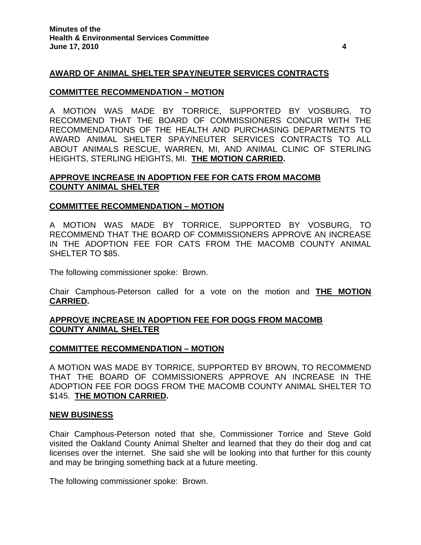## **AWARD OF ANIMAL SHELTER SPAY/NEUTER SERVICES CONTRACTS**

#### **COMMITTEE RECOMMENDATION – MOTION**

A MOTION WAS MADE BY TORRICE, SUPPORTED BY VOSBURG, TO RECOMMEND THAT THE BOARD OF COMMISSIONERS CONCUR WITH THE RECOMMENDATIONS OF THE HEALTH AND PURCHASING DEPARTMENTS TO AWARD ANIMAL SHELTER SPAY/NEUTER SERVICES CONTRACTS TO ALL ABOUT ANIMALS RESCUE, WARREN, MI, AND ANIMAL CLINIC OF STERLING HEIGHTS, STERLING HEIGHTS, MI. **THE MOTION CARRIED.** 

### **APPROVE INCREASE IN ADOPTION FEE FOR CATS FROM MACOMB COUNTY ANIMAL SHELTER**

#### **COMMITTEE RECOMMENDATION – MOTION**

A MOTION WAS MADE BY TORRICE, SUPPORTED BY VOSBURG, TO RECOMMEND THAT THE BOARD OF COMMISSIONERS APPROVE AN INCREASE IN THE ADOPTION FEE FOR CATS FROM THE MACOMB COUNTY ANIMAL SHELTER TO \$85.

The following commissioner spoke: Brown.

Chair Camphous-Peterson called for a vote on the motion and **THE MOTION CARRIED.** 

## **APPROVE INCREASE IN ADOPTION FEE FOR DOGS FROM MACOMB COUNTY ANIMAL SHELTER**

#### **COMMITTEE RECOMMENDATION – MOTION**

A MOTION WAS MADE BY TORRICE, SUPPORTED BY BROWN, TO RECOMMEND THAT THE BOARD OF COMMISSIONERS APPROVE AN INCREASE IN THE ADOPTION FEE FOR DOGS FROM THE MACOMB COUNTY ANIMAL SHELTER TO \$145. **THE MOTION CARRIED.** 

#### **NEW BUSINESS**

Chair Camphous-Peterson noted that she, Commissioner Torrice and Steve Gold visited the Oakland County Animal Shelter and learned that they do their dog and cat licenses over the internet. She said she will be looking into that further for this county and may be bringing something back at a future meeting.

The following commissioner spoke: Brown.